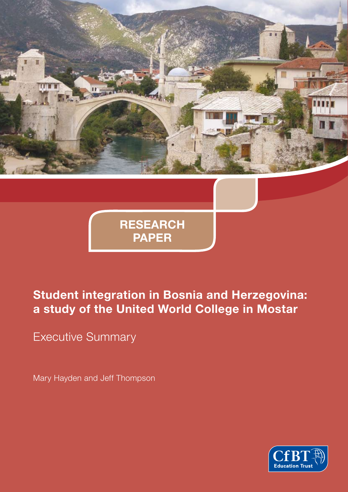

**RESEARCH PAPER**

# **Student integration in Bosnia and Herzegovina: a study of the United World College in Mostar**

Executive Summary

Mary Hayden and Jeff Thompson

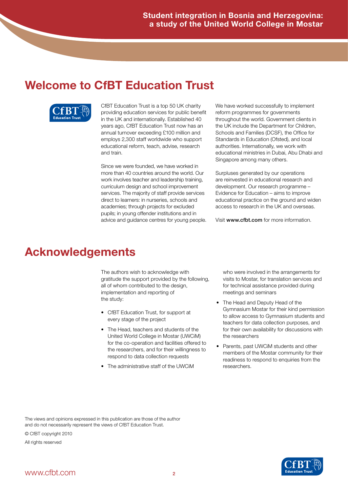## **Welcome to CfBT Education Trust**



CfBT Education Trust is a top 50 UK charity providing education services for public benefit in the UK and internationally. Established 40 years ago, CfBT Education Trust now has an annual turnover exceeding £100 million and employs 2,300 staff worldwide who support educational reform, teach, advise, research and train.

Since we were founded, we have worked in more than 40 countries around the world. Our work involves teacher and leadership training, curriculum design and school improvement services. The majority of staff provide services direct to learners: in nurseries, schools and academies; through projects for excluded pupils; in young offender institutions and in advice and guidance centres for young people. We have worked successfully to implement reform programmes for governments throughout the world. Government clients in the UK include the Department for Children, Schools and Families (DCSF), the Office for Standards in Education (Ofsted), and local authorities. Internationally, we work with educational ministries in Dubai, Abu Dhabi and Singapore among many others.

Surpluses generated by our operations are reinvested in educational research and development. Our research programme – Evidence for Education – aims to improve educational practice on the ground and widen access to research in the UK and overseas.

Visit www.cfbt.com for more information.

## **Acknowledgements**

The authors wish to acknowledge with gratitude the support provided by the following, all of whom contributed to the design, implementation and reporting of the study:

- • CfBT Education Trust, for support at every stage of the project
- The Head, teachers and students of the United World College in Mostar (UWCiM) for the co-operation and facilities offered to the researchers, and for their willingness to respond to data collection requests
- The administrative staff of the LIWCIM

who were involved in the arrangements for visits to Mostar, for translation services and for technical assistance provided during meetings and seminars

- The Head and Deputy Head of the Gymnasium Mostar for their kind permission to allow access to Gymnasium students and teachers for data collection purposes, and for their own availability for discussions with the researchers
- Parents, past UWCiM students and other members of the Mostar community for their readiness to respond to enquiries from the researchers.

The views and opinions expressed in this publication are those of the author and do not necessarily represent the views of CfBT Education Trust.

© CfBT copyright 2010

All rights reserved

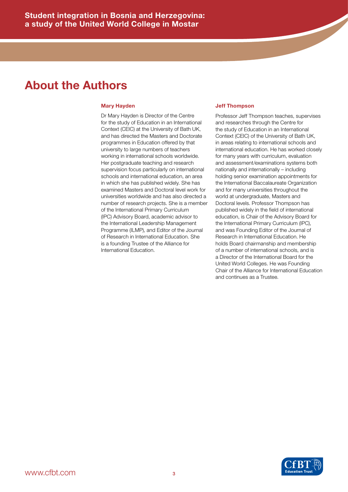### **About the Authors**

#### **Mary Hayden**

Dr Mary Hayden is Director of the Centre for the study of Education in an International Context (CEIC) at the University of Bath UK, and has directed the Masters and Doctorate programmes in Education offered by that university to large numbers of teachers working in international schools worldwide. Her postgraduate teaching and research supervision focus particularly on international schools and international education, an area in which she has published widely. She has examined Masters and Doctoral level work for universities worldwide and has also directed a number of research projects. She is a member of the International Primary Curriculum (IPC) Advisory Board, academic advisor to the International Leadership Management Programme (ILMP), and Editor of the Journal of Research in International Education. She is a founding Trustee of the Alliance for International Education.

#### **Jeff Thompson**

Professor Jeff Thompson teaches, supervises and researches through the Centre for the study of Education in an International Context (CEIC) of the University of Bath UK, in areas relating to international schools and international education. He has worked closely for many years with curriculum, evaluation and assessment/examinations systems both nationally and internationally – including holding senior examination appointments for the International Baccalaureate Organization and for many universities throughout the world at undergraduate, Masters and Doctoral levels. Professor Thompson has published widely in the field of international education, is Chair of the Advisory Board for the International Primary Curriculum (IPC), and was Founding Editor of the Journal of Research in International Education. He holds Board chairmanship and membership of a number of international schools, and is a Director of the International Board for the United World Colleges. He was Founding Chair of the Alliance for International Education and continues as a Trustee.

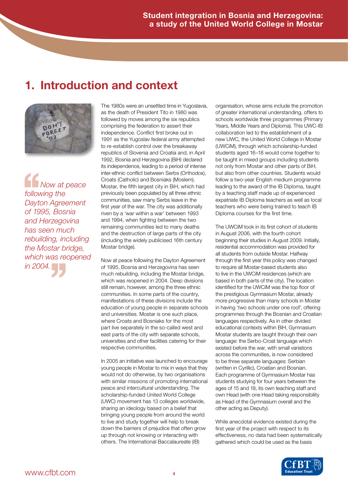# **1. Introduction and context**



*Now at peace following the Dayton Agreement of 1995, Bosnia and Herzegovina has seen much rebuilding, including the Mostar bridge, which was reopened in Mostar brithe Mostar brithe Mostar bri*<br>*which was rec Now*<br>
following t<br>
Dayton Ag<br>
of 1995, E

The 1980s were an unsettled time in Yugoslavia, as the death of President Tito in 1980 was followed by moves among the six republics comprising the federation to assert their independence. Conflict first broke out in 1991 as the Yugoslav federal army attempted to re-establish control over the breakaway republics of Slovenia and Croatia and, in April 1992, Bosnia and Herzegovina (BiH) declared its independence, leading to a period of intense inter-ethnic conflict between Serbs (Orthodox), Croats (Catholic) and Bosniaks (Moslem). Mostar, the fifth largest city in BiH, which had previously been populated by all three ethnic communities, saw many Serbs leave in the first year of the war. The city was additionally riven by a 'war within a war' between 1993 and 1994, when fighting between the two remaining communities led to many deaths and the destruction of large parts of the city (including the widely publicised 16th century Mostar bridge).

Now at peace following the Dayton Agreement of 1995, Bosnia and Herzegovina has seen much rebuilding, including the Mostar bridge, which was reopened in 2004. Deep divisions still remain, however, among the three ethnic communities. In some parts of the country, manifestations of these divisions include the education of young people in separate schools and universities. Mostar is one such place, where Croats and Bosniaks for the most part live separately in the so-called west and east parts of the city with separate schools, universities and other facilities catering for their respective communities.

In 2005 an initiative was launched to encourage young people in Mostar to mix in ways that they would not do otherwise, by two organisations with similar missions of promoting international peace and intercultural understanding. The scholarship-funded United World College (UWC) movement has 13 colleges worldwide, sharing an ideology based on a belief that bringing young people from around the world to live and study together will help to break down the barriers of prejudice that often grow up through not knowing or interacting with others. The International Baccalaureate (IB)

organisation, whose aims include the promotion of greater international understanding, offers to schools worldwide three programmes (Primary Years, Middle Years and Diploma). This UWC-IB collaboration led to the establishment of a new UWC, the United World College in Mostar (UWCiM), through which scholarship-funded students aged 16–18 would come together to be taught in mixed groups including students not only from Mostar and other parts of BiH, but also from other countries. Students would follow a two-year English medium programme leading to the award of the IB Diploma, taught by a teaching staff made up of experienced expatriate IB Diploma teachers as well as local teachers who were being trained to teach IB Diploma courses for the first time.

The UWCiM took in its first cohort of students in August 2006, with the fourth cohort beginning their studies in August 2009. Initially, residential accommodation was provided for all students from outside Mostar. Halfway through the first year this policy was changed to require all Mostar-based students also to live in the UWCiM residences (which are based in both parts of the city). The location identified for the UWCiM was the top floor of the prestigious Gymnasium Mostar, already more progressive than many schools in Mostar in having 'two schools under one roof', offering programmes through the Bosnian and Croatian languages respectively. As in other divided educational contexts within BiH, Gymnasium Mostar students are taught through their own language: the Serbo-Croat language which existed before the war, with small variations across the communities, is now considered to be three separate languages: Serbian (written in Cyrillic), Croatian and Bosnian. Each programme of Gymnasium Mostar has students studying for four years between the ages of 15 and 18, its own teaching staff and own Head (with one Head taking responsibility as Head of the Gymnasium overall and the other acting as Deputy).

While anecdotal evidence existed during the first year of the project with respect to its effectiveness, no data had been systematically gathered which could be used as the basis

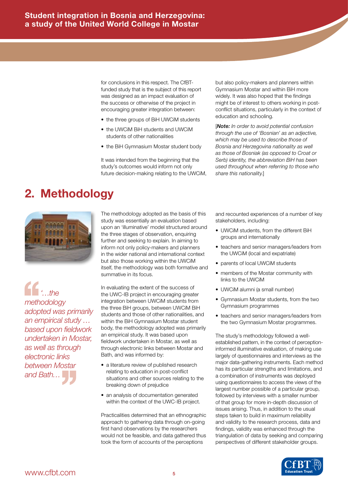for conclusions in this respect. The CfBTfunded study that is the subject of this report was designed as an impact evaluation of the success or otherwise of the project in encouraging greater integration between:

- the three groups of BiH UWCiM students
- the UWCiM BiH students and UWCiM students of other nationalities
- the BiH Gymnasium Mostar student body

It was intended from the beginning that the study's outcomes would inform not only future decision-making relating to the UWCiM, but also policy-makers and planners within Gymnasium Mostar and within BiH more widely. It was also hoped that the findings might be of interest to others working in postconflict situations, particularly in the context of education and schooling.

[*Note: In order to avoid potential confusion through the use of 'Bosnian' as an adjective, which may be used to describe those of Bosnia and Herzegovina nationality as well as those of Bosniak (as opposed to Croat or Serb) identity, the abbreviation BiH has been used throughout when referring to those who share this nationality.*]

## **2. Methodology**



*'…the methodology adopted was primarily an empirical study … based upon fieldwork undertaken in Mostar, as well as through electronic links between Mostar*  as well as a lineagh<br>electronic links<br>between Mostar<br>and Bath… the<br>
methodolo<br>
adopted w<br>
an empiric

The methodology adopted as the basis of this study was essentially an evaluation based upon an 'illuminative' model structured around the three stages of observation, enquiring further and seeking to explain. In aiming to inform not only policy-makers and planners in the wider national and international context but also those working within the UWCiM itself, the methodology was both formative and summative in its focus.

In evaluating the extent of the success of the UWC-IB project in encouraging greater integration between UWCiM students from the three BiH groups, between UWCiM BiH students and those of other nationalities, and within the BiH Gymnasium Mostar student body, the methodology adopted was primarily an empirical study. It was based upon fieldwork undertaken in Mostar, as well as through electronic links between Mostar and Bath, and was informed by:

- a literature review of published research relating to education in post-conflict situations and other sources relating to the breaking down of prejudice
- an analysis of documentation generated within the context of the UWC-IB project.

Practicalities determined that an ethnographic approach to gathering data through on-going first hand observations by the researchers would not be feasible, and data gathered thus took the form of accounts of the perceptions

and recounted experiences of a number of key stakeholders, including:

- UWCiM students, from the different BiH groups and internationally
- teachers and senior managers/leaders from the UWCiM (local and expatriate)
- parents of local UWCiM students
- members of the Mostar community with links to the UWCiM
- UWCiM alumni (a small number)
- Gymnasium Mostar students, from the two Gymnasium programmes
- teachers and senior managers/leaders from the two Gymnasium Mostar programmes.

The study's methodology followed a wellestablished pattern, in the context of perceptioninformed illuminative evaluation, of making use largely of questionnaires and interviews as the major data-gathering instruments. Each method has its particular strengths and limitations, and a combination of instruments was deployed using questionnaires to access the views of the largest number possible of a particular group, followed by interviews with a smaller number of that group for more in-depth discussion of issues arising. Thus, in addition to the usual steps taken to build in maximum reliability and validity to the research process, data and findings, validity was enhanced through the triangulation of data by seeking and comparing perspectives of different stakeholder groups.

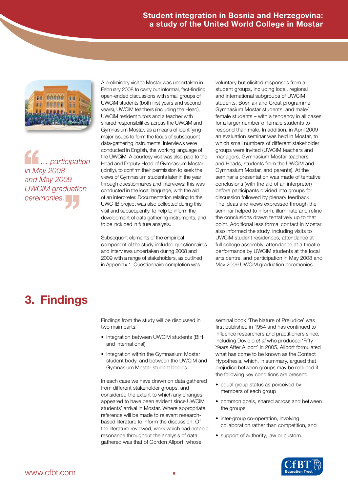

*… participation in May 2008 and May 2009 UWCiM graduation chtmay*<br> *ceremonies.*<br> *Ceremonies. (Comption Definition Definition Definition Definition Definition*<br> *Comption Definition Definition* Definition Definition Definition Definition Definition Definition Definition Definition Definition Definition Definition

A preliminary visit to Mostar was undertaken in February 2008 to carry out informal, fact-finding, open-ended discussions with small groups of UWCiM students (both first years and second years), UWCiM teachers (including the Head), UWCiM resident tutors and a teacher with shared responsibilities across the UWCiM and Gymnasium Mostar, as a means of identifying major issues to form the focus of subsequent data-gathering instruments. Interviews were conducted in English, the working language of the UWCiM. A courtesy visit was also paid to the Head and Deputy Head of Gymnasium Mostar (jointly), to confirm their permission to seek the views of Gymnasium students later in the year through questionnaires and interviews: this was conducted in the local language, with the aid of an interpreter. Documentation relating to the UWC-IB project was also collected during this visit and subsequently, to help to inform the development of data gathering instruments, and to be included in future analysis.

Subsequent elements of the empirical component of the study included questionnaires and interviews undertaken during 2008 and 2009 with a range of stakeholders, as outlined in Appendix 1. Questionnaire completion was

voluntary but elicited responses from all student groups, including local, regional and international subgroups of UWCiM students, Bosniak and Croat programme Gymnasium Mostar students, and male/ female students – with a tendency in all cases for a larger number of female students to respond than male. In addition, in April 2009 an evaluation seminar was held in Mostar, to which small numbers of different stakeholder groups were invited (UWCiM teachers and managers, Gymnasium Mostar teachers and Heads, students from the UWCiM and Gymnasium Mostar, and parents). At the seminar a presentation was made of tentative conclusions (with the aid of an interpreter) before participants divided into groups for discussion followed by plenary feedback. The ideas and views expressed through the seminar helped to inform, illuminate and refine the conclusions drawn tentatively up to that point. Additional less formal contact in Mostar also informed the study, including visits to UWCiM student residences, attendance at full college assembly, attendance at a theatre performance by UWCiM students at the local arts centre, and participation in May 2008 and May 2009 UWCiM graduation ceremonies.

## **3. Findings**

Findings from the study will be discussed in two main parts:

- Integration between UWCiM students (BiH and international)
- Integration within the Gymnasium Mostar student body, and between the UWCiM and Gymnasium Mostar student bodies.

In each case we have drawn on data gathered from different stakeholder groups, and considered the extent to which any changes appeared to have been evident since UWCiM students' arrival in Mostar. Where appropriate, reference will be made to relevant researchbased literature to inform the discussion. Of the literature reviewed, work which had notable resonance throughout the analysis of data gathered was that of Gordon Allport, whose

seminal book 'The Nature of Prejudice' was first published in 1954 and has continued to influence researchers and practitioners since, including Dovidio *et al* who produced 'Fifty Years After Allport' in 2005. Allport formulated what has come to be known as the Contact Hypothesis, which, in summary, argued that prejudice between groups may be reduced if the following key conditions are present:

- equal group status as perceived by members of each group
- common goals, shared across and between the groups
- inter-group co-operation, involving collaboration rather than competition, and
- support of authority, law or custom.

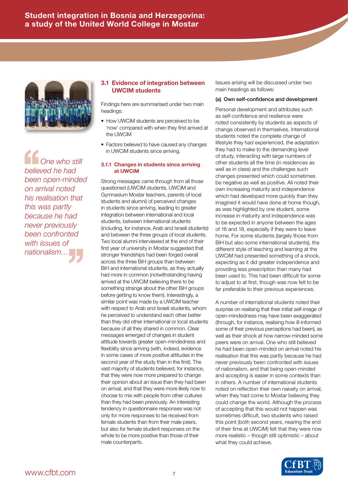

*One who still believed he had been open-minded on arrival noted his realisation that this was partly because he had never previously been confronted nationalism…* '' *with issues of*  <sup>1</sup><br>
One<br>
believed h<br>
been oper<br>
on arrival

### **3.1 Evidence of integration between UWCIM students**

Findings here are summarised under two main headings:

- How UWCiM students are perceived to be 'now' compared with when they first arrived at the UWCiM
- Factors believed to have caused any changes in UWCiM students since arriving.

#### **3.1.1 Changes in students since arriving at UWCiM**

Strong messages came through from all those questioned (UWCiM students, UWCiM and Gymnasium Mostar teachers, parents of local students and alumni) of perceived changes in students since arriving, leading to greater integration between international and local students, between international students (including, for instance, Arab and Israeli students) and between the three groups of local students. Two local alumni interviewed at the end of their first year of university in Mostar suggested that stronger friendships had been forged overall across the three BiH groups than between BiH and international students, as they actually had more in common (notwithstanding having arrived at the UWCiM believing there to be something strange about the other BiH groups before getting to know them). Interestingly, a similar point was made by a UWCiM teacher with respect to Arab and Israeli students, whom he perceived to understand each other better than they did other international or local students because of all they shared in common. Clear messages emerged of changes in student attitude towards greater open-mindedness and flexibility since arriving (with, indeed, evidence in some cases of more positive attitudes in the second year of the study than in the first). The vast majority of students believed, for instance, that they were now more prepared to change their opinion about an issue than they had been on arrival, and that they were more likely now to choose to mix with people from other cultures than they had been previously. An interesting tendency in questionnaire responses was not only for more responses to be received from female students than from their male peers, but also for female student responses on the whole to be more positive than those of their male counterparts.

Issues arising will be discussed under two main headings as follows:

#### (a) Own self-confidence and development

Personal development and attributes such as self-confidence and resilience were noted consistently by students as aspects of change observed in themselves. International students noted the complete change of lifestyle they had experienced, the adaptation they had to make to the demanding level of study, interacting with large numbers of other students all the time (in residences as well as in class) and the challenges such changes presented which could sometimes be negative as well as positive. All noted their own increasing maturity and independence which had developed more quickly than they imagined it would have done at home though, as was highlighted by one student, some increase in maturity and independence was to be expected in anyone between the ages of 16 and 18, especially if they were to leave home. For some students (largely those from BiH but also some international students), the different style of teaching and learning at the UWCiM had presented something of a shock, expecting as it did greater independence and providing less prescription than many had been used to. This had been difficult for some to adjust to at first, though was now felt to be far preferable to their previous experiences.

A number of international students noted their surprise on realising that their initial self-image of open-mindedness may have been exaggerated (through, for instance, realising how ill-informed some of their previous perceptions had been), as well as their shock at how narrow-minded some peers were on arrival. One who still believed he had been open-minded on arrival noted his realisation that this was partly because he had never previously been confronted with issues of nationalism, and that being open-minded and accepting is easier in some contexts than in others. A number of international students noted on reflection their own naivety on arrival, when they had come to Mostar believing they could change the world. Although the process of accepting that this would not happen was sometimes difficult, two students who raised this point (both second years, nearing the end of their time at UWCiM) felt that they were now more realistic – though still optimistic – about what they could achieve.

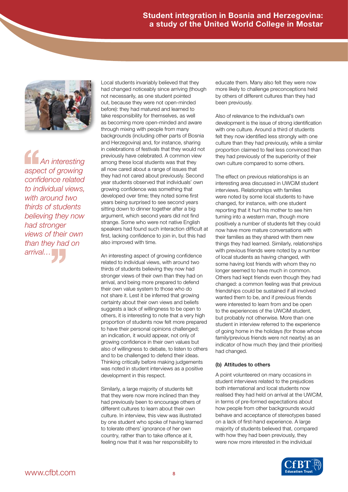

*An interesting aspect of growing confidence related to individual views, with around two thirds of students believing they now had stronger views of their own than they had on arrival*<br> *arrival*…<br> *arrival*… An in<br>
aspect of<br>
confidence<br>
to individu

Local students invariably believed that they had changed noticeably since arriving (though not necessarily, as one student pointed out, because they were not open-minded before): they had matured and learned to take responsibility for themselves, as well as becoming more open-minded and aware through mixing with people from many backgrounds (including other parts of Bosnia and Herzegovina) and, for instance, sharing in celebrations of festivals that they would not previously have celebrated. A common view among these local students was that they all now cared about a range of issues that they had not cared about previously. Second year students observed that individuals' own growing confidence was something that developed over time; they noted some first years being surprised to see second years sitting down to dinner together after a big argument, which second years did not find strange. Some who were not native English speakers had found such interaction difficult at first, lacking confidence to join in, but this had also improved with time.

An interesting aspect of growing confidence related to individual views, with around two thirds of students believing they now had stronger views of their own than they had on arrival, and being more prepared to defend their own value system to those who do not share it. Lest it be inferred that growing certainty about their own views and beliefs suggests a lack of willingness to be open to others, it is interesting to note that a very high proportion of students now felt more prepared to have their personal opinions challenged; an indication, it would appear, not only of growing confidence in their own values but also of willingness to debate, to listen to others and to be challenged to defend their ideas. Thinking critically before making judgements was noted in student interviews as a positive development in this respect.

Similarly, a large majority of students felt that they were now more inclined than they had previously been to encourage others of different cultures to learn about their own culture. In interview, this view was illustrated by one student who spoke of having learned to tolerate others' ignorance of her own country, rather than to take offence at it, feeling now that it was her responsibility to

educate them. Many also felt they were now more likely to challenge preconceptions held by others of different cultures than they had been previously.

Also of relevance to the individual's own development is the issue of strong identification with one culture. Around a third of students felt they now identified less strongly with one culture than they had previously, while a similar proportion claimed to feel less convinced than they had previously of the superiority of their own culture compared to some others.

The effect on previous relationships is an interesting area discussed in UWCiM student interviews. Relationships with families were noted by some local students to have changed, for instance, with one student reporting that it hurt his mother to see him turning into a western man, though more positively a number of students felt they could now have more mature conversations with their families as they shared with them new things they had learned. Similarly, relationships with previous friends were noted by a number of local students as having changed, with some having lost friends with whom they no longer seemed to have much in common. Others had kept friends even though they had changed: a common feeling was that previous friendships could be sustained if all involved wanted them to be, and if previous friends were interested to learn from and be open to the experiences of the UWCiM student, but probably not otherwise. More than one student in interview referred to the experience of going home in the holidays (for those whose family/previous friends were not nearby) as an indicator of how much they (and their priorities) had changed.

#### (b) Attitudes to others

A point volunteered on many occasions in student interviews related to the prejudices both international and local students now realised they had held on arrival at the UWCiM, in terms of pre-formed expectations about how people from other backgrounds would behave and acceptance of stereotypes based on a lack of first-hand experience. A large majority of students believed that, compared with how they had been previously, they were now more interested in the individual

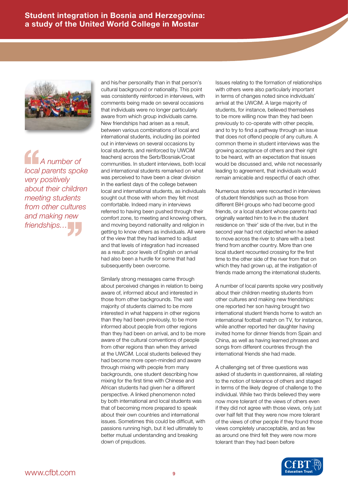

*A number of local parents spoke very positively about their children meeting students from other cultures and making new*  from other cultures<br>and making new<br>friendships... A nul<br>
local pare<br>
very posit.<br>
about the

and his/her personality than in that person's cultural background or nationality. This point was consistently reinforced in interviews, with comments being made on several occasions that individuals were no longer particularly aware from which group individuals came. New friendships had arisen as a result, between various combinations of local and international students, including (as pointed out in interviews on several occasions by local students, and reinforced by UWCiM teachers) across the Serb/Bosniak/Croat communities. In student interviews, both local and international students remarked on what was perceived to have been a clear division in the earliest days of the college between local and international students, as individuals sought out those with whom they felt most comfortable. Indeed many in interviews referred to having been pushed through their comfort zone, to meeting and knowing others, and moving beyond nationality and religion in getting to know others as individuals. All were of the view that they had learned to adjust and that levels of integration had increased as a result: poor levels of English on arrival had also been a hurdle for some that had subsequently been overcome.

Similarly strong messages came through about perceived changes in relation to being aware of, informed about and interested in those from other backgrounds. The vast majority of students claimed to be more interested in what happens in other regions than they had been previously, to be more informed about people from other regions than they had been on arrival, and to be more aware of the cultural conventions of people from other regions than when they arrived at the UWCiM. Local students believed they had become more open-minded and aware through mixing with people from many backgrounds, one student describing how mixing for the first time with Chinese and African students had given her a different perspective. A linked phenomenon noted by both international and local students was that of becoming more prepared to speak about their own countries and international issues. Sometimes this could be difficult, with passions running high, but it led ultimately to better mutual understanding and breaking down of prejudices.

Issues relating to the formation of relationships with others were also particularly important in terms of changes noted since individuals' arrival at the UWCiM. A large majority of students, for instance, believed themselves to be more willing now than they had been previously to co-operate with other people, and to try to find a pathway through an issue that does not offend people of any culture. A common theme in student interviews was the growing acceptance of others and their right to be heard, with an expectation that issues would be discussed and, while not necessarily leading to agreement, that individuals would remain amicable and respectful of each other.

Numerous stories were recounted in interviews of student friendships such as those from different BiH groups who had become good friends, or a local student whose parents had originally wanted him to live in the student residence on 'their' side of the river, but in the second year had not objected when he asked to move across the river to share with a best friend from another country. More than one local student recounted crossing for the first time to the other side of the river from that on which they had grown up, at the instigation of friends made among the international students.

A number of local parents spoke very positively about their children meeting students from other cultures and making new friendships: one reported her son having brought two international student friends home to watch an international football match on TV, for instance, while another reported her daughter having invited home for dinner friends from Spain and China, as well as having learned phrases and songs from different countries through the international friends she had made.

A challenging set of three questions was asked of students in questionnaires, all relating to the notion of tolerance of others and staged in terms of the likely degree of challenge to the individual. While two thirds believed they were now more tolerant of the views of others even if they did not agree with those views, only just over half felt that they were now more tolerant of the views of other people if they found those views completely unacceptable, and as few as around one third felt they were now more tolerant than they had been before

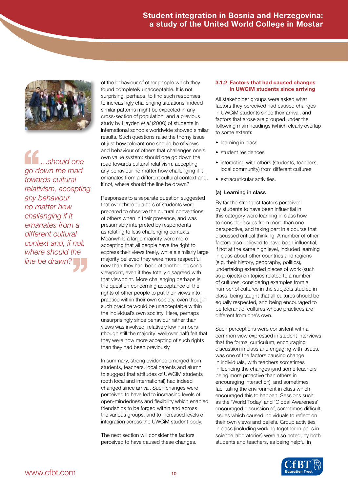

*…should one go down the road towards cultural relativism, accepting any behaviour no matter how challenging if it emanates from a different cultural context and, if not, line be drawn?* '' *where should the*  She<br>
go down<br>
towards c<br>
relativism,

of the behaviour of other people which they found completely unacceptable. It is not surprising, perhaps, to find such responses to increasingly challenging situations: indeed similar patterns might be expected in any cross-section of population, and a previous study by Hayden *et al* (2000) of students in international schools worldwide showed similar results. Such questions raise the thorny issue of just how tolerant one should be of views and behaviour of others that challenges one's own value system: should one go down the road towards cultural relativism, accepting any behaviour no matter how challenging if it emanates from a different cultural context and, if not, where should the line be drawn?

Responses to a separate question suggested that over three quarters of students were prepared to observe the cultural conventions of others when in their presence, and was presumably interpreted by respondents as relating to less challenging contexts. Meanwhile a large majority were more accepting that all people have the right to express their views freely, while a similarly large majority believed they were more respectful now than they had been of another person's viewpoint, even if they totally disagreed with that viewpoint. More challenging perhaps is the question concerning acceptance of the rights of other people to put their views into practice within their own society, even though such practice would be unacceptable within the individual's own society. Here, perhaps unsurprisingly since behaviour rather than views was involved, relatively low numbers (though still the majority: well over half) felt that they were now more accepting of such rights than they had been previously.

In summary, strong evidence emerged from students, teachers, local parents and alumni to suggest that attitudes of UWCiM students (both local and international) had indeed changed since arrival. Such changes were perceived to have led to increasing levels of open-mindedness and flexibility which enabled friendships to be forged within and across the various groups, and to increased levels of integration across the UWCiM student body.

The next section will consider the factors perceived to have caused these changes.

#### **3.1.2 Factors that had caused changes in UWCiM students since arriving**

All stakeholder groups were asked what factors they perceived had caused changes in UWCiM students since their arrival, and factors that arose are grouped under the following main headings (which clearly overlap to some extent):

- learning in class
- student residences
- interacting with others (students, teachers, local community) from different cultures
- extracurricular activities.

### (a) Learning in class

By far the strongest factors perceived by students to have been influential in this category were learning in class how to consider issues from more than one perspective, and taking part in a course that discussed critical thinking. A number of other factors also believed to have been influential, if not at the same high level, included learning in class about other countries and regions (e.g. their history, geography, politics), undertaking extended pieces of work (such as projects) on topics related to a number of cultures, considering examples from a number of cultures in the subjects studied in class, being taught that all cultures should be equally respected, and being encouraged to be tolerant of cultures whose practices are different from one's own.

Such perceptions were consistent with a common view expressed in student interviews that the formal curriculum, encouraging discussion in class and engaging with issues, was one of the factors causing change in individuals, with teachers sometimes influencing the changes (and some teachers being more proactive than others in encouraging interaction), and sometimes facilitating the environment in class which encouraged this to happen. Sessions such as the 'World Today' and 'Global Awareness' encouraged discussion of, sometimes difficult, issues which caused individuals to reflect on their own views and beliefs. Group activities in class (including working together in pairs in science laboratories) were also noted, by both students and teachers, as being helpful in

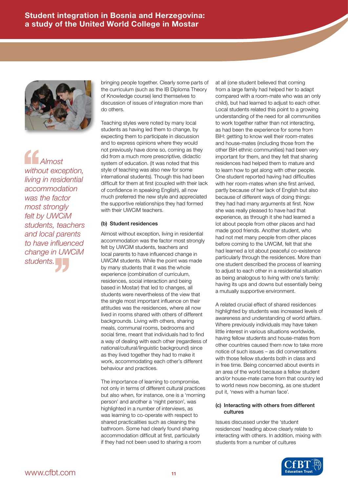

*Almost without exception, living in residential accommodation was the factor most strongly felt by UWCiM students, teachers and local parents to have influenced change in UWCiM students.*<br> *sto have influend<br>
change in UWC<br>
students. Almo*<br>
without ex<br>
living in re<br>
accommo

bringing people together. Clearly some parts of the curriculum (such as the IB Diploma Theory of Knowledge course) lend themselves to discussion of issues of integration more than do others.

Teaching styles were noted by many local students as having led them to change, by expecting them to participate in discussion and to express opinions where they would not previously have done so, coming as they did from a much more prescriptive, didactic system of education. (It was noted that this style of teaching was also new for some international students). Though this had been difficult for them at first (coupled with their lack of confidence in speaking English), all now much preferred the new style and appreciated the supportive relationships they had formed with their UWCiM teachers.

#### (b) Student residences

Almost without exception, living in residential accommodation was the factor most strongly felt by UWCiM students, teachers and local parents to have influenced change in UWCiM students. While the point was made by many students that it was the whole experience (combination of curriculum, residences, social interaction and being based in Mostar) that led to changes, all students were nevertheless of the view that the single most important influence on their attitudes was the residences, where all now lived in rooms shared with others of different backgrounds. Living with others, sharing meals, communal rooms, bedrooms and social time, meant that individuals had to find a way of dealing with each other (regardless of national/cultural/linguistic background) since as they lived together they had to make it work, accommodating each other's different behaviour and practices.

The importance of learning to compromise, not only in terms of different cultural practices but also when, for instance, one is a 'morning person' and another a 'night person', was highlighted in a number of interviews, as was learning to co-operate with respect to shared practicalities such as cleaning the bathroom. Some had clearly found sharing accommodation difficult at first, particularly if they had not been used to sharing a room

at all (one student believed that coming from a large family had helped her to adapt compared with a room-mate who was an only child), but had learned to adjust to each other. Local students related this point to a growing understanding of the need for all communities to work together rather than not interacting, as had been the experience for some from BiH: getting to know well their room-mates and house-mates (including those from the other BiH ethnic communities) had been very important for them, and they felt that sharing residences had helped them to mature and to learn how to get along with other people. One student reported having had difficulties with her room-mates when she first arrived, partly because of her lack of English but also because of different ways of doing things: they had had many arguments at first. Now she was really pleased to have had that experience, as through it she had learned a lot about people from other places and had made good friends. Another student, who had not met many people from other places before coming to the UWCiM, felt that she had learned a lot about peaceful co-existence particularly through the residences. More than one student described the process of learning to adjust to each other in a residential situation as being analogous to living with one's family: having its ups and downs but essentially being a mutually supportive environment.

A related crucial effect of shared residences highlighted by students was increased levels of awareness and understanding of world affairs. Where previously individuals may have taken little interest in various situations worldwide, having fellow students and house-mates from other countries caused them now to take more notice of such issues – as did conversations with those fellow students both in class and in free time. Being concerned about events in an area of the world because a fellow student and/or house-mate came from that country led to world news now becoming, as one student put it, 'news with a human face'.

#### (c) Interacting with others from different cultures

Issues discussed under the 'student residences' heading above clearly relate to interacting with others. In addition, mixing with students from a number of cultures

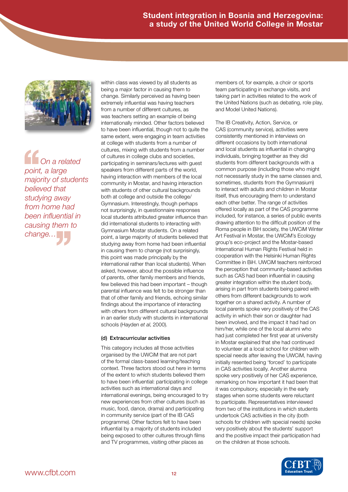

*On a related point, a large majority of students believed that studying away from home had been influential in causing them to*  **Con a relationally conducted that**<br>the majority of students and the studying away<br>from home has<br>been influential<br>causing them<br>change...

within class was viewed by all students as being a major factor in causing them to change. Similarly perceived as having been extremely influential was having teachers from a number of different cultures, as was teachers setting an example of being internationally minded. Other factors believed to have been influential, though not to quite the same extent, were engaging in team activities at college with students from a number of cultures, mixing with students from a number of cultures in college clubs and societies, participating in seminars/lectures with guest speakers from different parts of the world, having interaction with members of the local community in Mostar, and having interaction with students of other cultural backgrounds both at college and outside the college/ Gymnasium. Interestingly, though perhaps not surprisingly, in questionnaire responses local students attributed greater influence than did international students to interacting with Gymnasium Mostar students. On a related point, a large majority of students believed that studying away from home had been influential in causing them to change (not surprisingly, this point was made principally by the international rather than local students). When asked, however, about the possible influence of parents, other family members and friends, few believed this had been important – though parental influence was felt to be stronger than that of other family and friends, echoing similar findings about the importance of interacting with others from different cultural backgrounds in an earlier study with students in international schools (Hayden *et al*, 2000).

#### (d) Extracurricular activities

This category includes all those activities organised by the UWCiM that are not part of the formal class-based learning/teaching context. Three factors stood out here in terms of the extent to which students believed them to have been influential: participating in college activities such as international days and international evenings, being encouraged to try new experiences from other cultures (such as music, food, dance, drama) and participating in community service (part of the IB CAS programme). Other factors felt to have been influential by a majority of students included being exposed to other cultures through films and TV programmes, visiting other places as

members of, for example, a choir or sports team participating in exchange visits, and taking part in activities related to the work of the United Nations (such as debating, role play, and Model United Nations).

The IB Creativity, Action, Service, or CAS (community service), activities were consistently mentioned in interviews on different occasions by both international and local students as influential in changing individuals, bringing together as they did students from different backgrounds with a common purpose (including those who might not necessarily study in the same classes and, sometimes, students from the Gymnasium) to interact with adults and children in Mostar itself, thus encouraging them to understand each other better. The range of activities offered locally as part of the CAS programme included, for instance, a series of public events drawing attention to the difficult position of the Roma people in BiH society, the UWCiM Winter Art Festival in Mostar, the UWCiM's Ecology group's eco-project and the Mostar-based International Human Rights Festival held in cooperation with the Helsinki Human Rights Committee in BiH. UWCiM teachers reinforced the perception that community-based activities such as CAS had been influential in causing greater integration within the student body, arising in part from students being paired with others from different backgrounds to work together on a shared activity. A number of local parents spoke very positively of the CAS activity in which their son or daughter had been involved, and the impact it had had on him/her, while one of the local alumni who had just completed her first year at university in Mostar explained that she had continued to volunteer at a local school for children with special needs after leaving the UWCiM, having initially resented being 'forced' to participate in CAS activities locally. Another alumna spoke very positively of her CAS experience, remarking on how important it had been that it was compulsory, especially in the early stages when some students were reluctant to participate. Representatives interviewed from two of the institutions in which students undertook CAS activities in the city (both schools for children with special needs) spoke very positively about the students' support and the positive impact their participation had on the children at those schools.

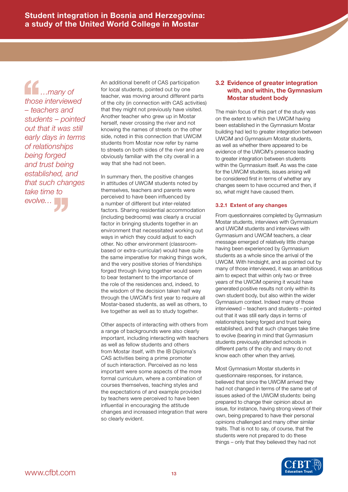*…many of those interviewed – teachers and students – pointed out that it was still early days in terms of relationships being forged and trust being established, and that such changes evolve…* '' *take time to*  those interested<br>
those interested<br>
students<br>
students

An additional benefit of CAS participation for local students, pointed out by one teacher, was moving around different parts of the city (in connection with CAS activities) that they might not previously have visited. Another teacher who grew up in Mostar herself, never crossing the river and not knowing the names of streets on the other side, noted in this connection that UWCiM students from Mostar now refer by name to streets on both sides of the river and are obviously familiar with the city overall in a way that she had not been.

In summary then, the positive changes in attitudes of UWCiM students noted by themselves, teachers and parents were perceived to have been influenced by a number of different but inter-related factors. Sharing residential accommodation (including bedrooms) was clearly a crucial factor in bringing students together in an environment that necessitated working out ways in which they could adjust to each other. No other environment (classroombased or extra-curricular) would have quite the same imperative for making things work, and the very positive stories of friendships forged through living together would seem to bear testament to the importance of the role of the residences and, indeed, to the wisdom of the decision taken half way through the UWCiM's first year to require all Mostar-based students, as well as others, to live together as well as to study together.

Other aspects of interacting with others from a range of backgrounds were also clearly important, including interacting with teachers as well as fellow students and others from Mostar itself, with the IB Diploma's CAS activities being a prime promoter of such interaction. Perceived as no less important were some aspects of the more formal curriculum, where a combination of courses themselves, teaching styles and the expectations of and example provided by teachers were perceived to have been influential in encouraging the attitude changes and increased integration that were so clearly evident.

### **3.2 Evidence of greater integration with, and within, the Gymnasium Mostar student body**

The main focus of this part of the study was on the extent to which the UWCiM having been established in the Gymnasium Mostar building had led to greater integration between UWCiM and Gymnasium Mostar students, as well as whether there appeared to be evidence of the UWCiM's presence leading to greater integration between students within the Gymnasium itself. As was the case for the UWCiM students, issues arising will be considered first in terms of whether any changes seem to have occurred and then, if so, what might have caused them.

### **3.2.1 Extent of any changes**

From questionnaires completed by Gymnasium Mostar students, interviews with Gymnasium and UWCiM students and interviews with Gymnasium and UWCiM teachers, a clear message emerged of relatively little change having been experienced by Gymnasium students as a whole since the arrival of the UWCiM. With hindsight, and as pointed out by many of those interviewed, it was an ambitious aim to expect that within only two or three years of the UWCiM opening it would have generated positive results not only within its own student body, but also within the wider Gymnasium context. Indeed many of those interviewed – teachers and students – pointed out that it was still early days in terms of relationships being forged and trust being established, and that such changes take time to evolve (bearing in mind that Gymnasium students previously attended schools in different parts of the city and many do not know each other when they arrive).

Most Gymnasium Mostar students in questionnaire responses, for instance, believed that since the UWCiM arrived they had not changed in terms of the same set of issues asked of the UWCiM students: being prepared to change their opinion about an issue, for instance, having strong views of their own, being prepared to have their personal opinions challenged and many other similar traits. That is not to say, of course, that the students were not prepared to do these things – only that they believed they had not

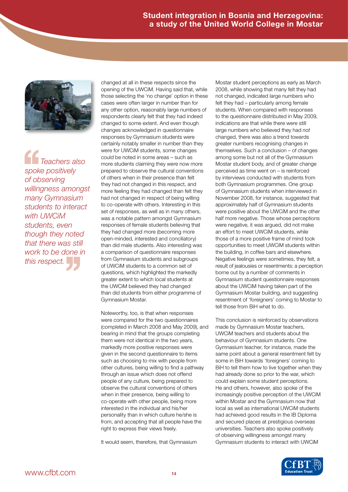

*Teachers also spoke positively of observing willingness amongst many Gymnasium students to interact with UWCiM students, even though they noted that there was still work to be done in this there was still*<br>*that there was still*<br>*work to be done in*<br>*this respect.* Teach<br>
spoke pos<br>
of observi<br>
willingnes

changed at all in these respects since the opening of the UWCiM. Having said that, while those selecting the 'no change' option in these cases were often larger in number than for any other option, reasonably large numbers of respondents clearly felt that they had indeed changed to some extent. And even though changes acknowledged in questionnaire responses by Gymnasium students were certainly notably smaller in number than they were for UWCiM students, some changes could be noted in some areas – such as more students claiming they were now more prepared to observe the cultural conventions of others when in their presence than felt they had not changed in this respect, and more feeling they had changed than felt they had not changed in respect of being willing to co-operate with others. Interesting in this set of responses, as well as in many others, was a notable pattern amongst Gymnasium responses of female students believing that they had changed more (becoming more open-minded, interested and conciliatory) than did male students. Also interesting was a comparison of questionnaire responses from Gymnasium students and subgroups of UWCiM students to a common set of questions, which highlighted the markedly greater extent to which local students at the UWCiM believed they had changed than did students from either programme of Gymnasium Mostar.

Noteworthy, too, is that when responses were compared for the two questionnaires (completed in March 2008 and May 2009), and bearing in mind that the groups completing them were not identical in the two years, markedly more positive responses were given in the second questionnaire to items such as choosing to mix with people from other cultures, being willing to find a pathway through an issue which does not offend people of any culture, being prepared to observe the cultural conventions of others when in their presence, being willing to co-operate with other people, being more interested in the individual and his/her personality than in which culture he/she is from, and accepting that all people have the right to express their views freely.

It would seem, therefore, that Gymnasium

Mostar student perceptions as early as March 2008, while showing that many felt they had not changed, indicated large numbers who felt they had – particularly among female students. When compared with responses to the questionnaire distributed in May 2009, indications are that while there were still large numbers who believed they had *not* changed, there was also a trend towards greater numbers recognising changes in themselves. Such a conclusion – of changes among some but not all of the Gymnasium Mostar student body, and of greater change perceived as time went on – is reinforced by interviews conducted with students from both Gymnasium programmes. One group of Gymnasium students when interviewed in November 2008, for instance, suggested that approximately half of Gymnasium students were positive about the UWCiM and the other half more negative. Those whose perceptions were negative, it was argued, did not make an effort to meet UWCiM students, while those of a more positive frame of mind took opportunities to meet UWCiM students within the building, in coffee bars and elsewhere. Negative feelings were sometimes, they felt, a result of jealousies or resentments: a perception borne out by a number of comments in Gymnasium student questionnaire responses about the UWCiM having taken part of the Gymnasium Mostar building, and suggesting resentment of 'foreigners' coming to Mostar to tell those from BiH what to do.

This conclusion is reinforced by observations made by Gymnasium Mostar teachers, UWCiM teachers and students about the behaviour of Gymnasium students. One Gymnasium teacher, for instance, made the same point about a general resentment felt by some in BiH towards 'foreigners' coming to BiH to tell them how to live together when they had already done so prior to the war, which could explain some student perceptions. He and others, however, also spoke of the increasingly positive perception of the UWCiM within Mostar and the Gymnasium now that local as well as international UWCiM students had achieved good results in the IB Diploma and secured places at prestigious overseas universities. Teachers also spoke positively of observing willingness amongst many Gymnasium students to interact with UWCiM

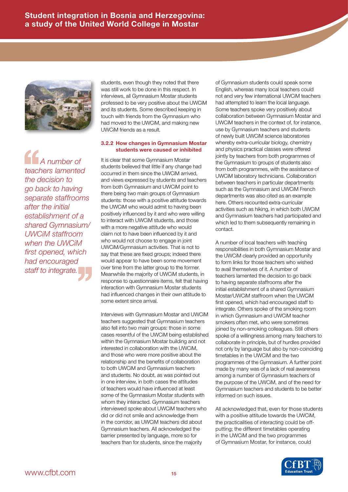

*A number of teachers lamented the decision to go back to having separate staffrooms after the initial establishment of a shared Gymnasium/ UWCiM staffroom when the UWCiM first opened, which staff to integrate.* '' *had encouraged*  A nul<br>teachers l<br>the decisive<br>go back to

students, even though they noted that there was still work to be done in this respect. In interviews, all Gymnasium Mostar students professed to be very positive about the UWCiM and its students. Some described keeping in touch with friends from the Gymnasium who had moved to the UWCiM, and making new UWCiM friends as a result.

#### **3.2.2 How changes in Gymnasium Mostar students were caused or inhibited**

It is clear that some Gymnasium Mostar students believed that little if any change had occurred in them since the UWCiM arrived, and views expressed by students and teachers from both Gymnasium and UWCiM point to there being two main groups of Gymnasium students: those with a positive attitude towards the UWCiM who would admit to having been positively influenced by it and who were willing to interact with UWCiM students, and those with a more negative attitude who would claim not to have been influenced by it and who would not choose to engage in joint UWCiM/Gymnasium activities. That is not to say that these are fixed groups; indeed there would appear to have been some movement over time from the latter group to the former. Meanwhile the majority of UWCiM students, in response to questionnaire items, felt that having interaction with Gymnasium Mostar students had influenced changes in their own attitude to some extent since arrival.

Interviews with Gymnasium Mostar and UWCiM teachers suggested that Gymnasium teachers also fell into two main groups: those in some cases resentful of the UWCiM being established within the Gymnasium Mostar building and not interested in collaboration with the UWCiM, and those who were more positive about the relationship and the benefits of collaboration to both UWCiM and Gymnasium teachers and students. No doubt, as was pointed out in one interview, in both cases the attitudes of teachers would have influenced at least some of the Gymnasium Mostar students with whom they interacted. Gymnasium teachers interviewed spoke about UWCiM teachers who did or did not smile and acknowledge them in the corridor, as UWCiM teachers did about Gymnasium teachers. All acknowledged the barrier presented by language, more so for teachers than for students, since the majority

of Gymnasium students could speak some English, whereas many local teachers could not and very few international UWCiM teachers had attempted to learn the local language. Some teachers spoke very positively about collaboration between Gymnasium Mostar and UWCiM teachers in the context of, for instance, use by Gymnasium teachers and students of newly built UWCiM science laboratories whereby extra-curricular biology, chemistry and physics practical classes were offered jointly by teachers from both programmes of the Gymnasium to groups of students also from both programmes, with the assistance of UWCiM laboratory technicians. Collaboration between teachers in particular departments such as the Gymnasium and UWCiM French departments was also cited as an example here. Others recounted extra-curricular activities such as hiking, in which both UWCiM and Gymnasium teachers had participated and which led to them subsequently remaining in contact.

A number of local teachers with teaching responsibilities in both Gymnasium Mostar and the UWCiM clearly provided an opportunity to form links for those teachers who wished to avail themselves of it. A number of teachers lamented the decision to go back to having separate staffrooms after the initial establishment of a shared Gymnasium Mostar/UWCiM staffroom when the UWCiM first opened, which had encouraged staff to integrate. Others spoke of the smoking room in which Gymnasium and UWCiM teacher smokers often met, who were sometimes joined by non-smoking colleagues. Still others spoke of a willingness among many teachers to collaborate in principle, but of hurdles provided not only by language but also by non-coinciding timetables in the UWCiM and the two programmes of the Gymnasium. A further point made by many was of a lack of real awareness among a number of Gymnasium teachers of the purpose of the UWCiM, and of the need for Gymnasium teachers and students to be better informed on such issues.

All acknowledged that, even for those students with a positive attitude towards the UWCiM, the practicalities of interacting could be offputting; the different timetables operating in the UWCiM and the two programmes of Gymnasium Mostar, for instance, could

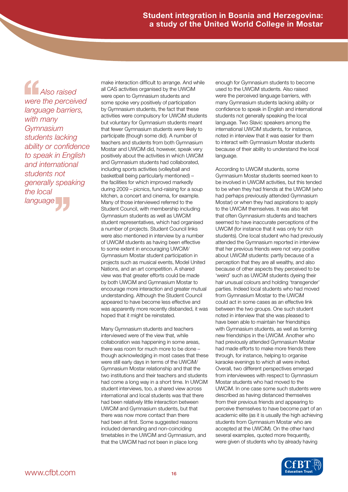*Also raised were the perceived language barriers, with many Gymnasium students lacking ability or confidence to speak in English and international students not generally speaking language* '' *the local*  Also<br>
were the p<br>
language<br>
with many

make interaction difficult to arrange. And while all CAS activities organised by the UWCiM were open to Gymnasium students and some spoke very positively of participation by Gymnasium students, the fact that these activities were compulsory for UWCiM students but voluntary for Gymnasium students meant that fewer Gymnasium students were likely to participate (though some did). A number of teachers and students from both Gymnasium Mostar and UWCiM did, however, speak very positively about the activities in which UWCiM and Gymnasium students had collaborated, including sports activities (volleyball and basketball being particularly mentioned) – the facilities for which improved markedly during 2009 – picnics, fund-raising for a soup kitchen, a concert and cinema, for example. Many of those interviewed referred to the Student Council, with membership including Gymnasium students as well as UWCiM student representatives, which had organised a number of projects. Student Council links were also mentioned in interview by a number of UWCiM students as having been effective to some extent in encouraging UWCiM/ Gymnasium Mostar student participation in projects such as musical events, Model United Nations, and an art competition. A shared view was that greater efforts could be made by both UWCiM and Gymnasium Mostar to encourage more interaction and greater mutual understanding. Although the Student Council appeared to have become less effective and was apparently more recently disbanded, it was hoped that it might be reinstated.

Many Gymnasium students and teachers interviewed were of the view that, while collaboration was happening in some areas, there was room for much more to be done – though acknowledging in most cases that these were still early days in terms of the UWCiM/ Gymnasium Mostar relationship and that the two institutions and their teachers and students had come a long way in a short time. In UWCiM student interviews, too, a shared view across international and local students was that there had been relatively little interaction between UWCiM and Gymnasium students, but that there was now more contact than there had been at first. Some suggested reasons included demanding and non-coinciding timetables in the UWCiM and Gymnasium, and that the UWCiM had not been in place long

enough for Gymnasium students to become used to the UWCiM students. Also raised were the perceived language barriers, with many Gymnasium students lacking ability or confidence to speak in English and international students not generally speaking the local language. Two Slavic speakers among the international UWCiM students, for instance, noted in interview that it was easier for them to interact with Gymnasium Mostar students because of their ability to understand the local language.

According to UWCiM students, some Gymnasium Mostar students seemed keen to be involved in UWCiM activities, but this tended to be when they had friends at the UWCiM (who had perhaps previously attended Gymnasium Mostar) or when they had aspirations to apply to the UWCiM themselves. It was also felt that often Gymnasium students and teachers seemed to have inaccurate perceptions of the UWCiM (for instance that it was only for rich students). One local student who had previously attended the Gymnasium reported in interview that her previous friends were not very positive about UWCiM students: partly because of a perception that they are all wealthy, and also because of other aspects they perceived to be 'weird' such as UWCiM students dyeing their hair unusual colours and holding 'transgender' parties. Indeed local students who had moved from Gymnasium Mostar to the UWCiM could act in some cases as an effective link between the two groups. One such student noted in interview that she was pleased to have been able to maintain her friendships with Gymnasium students, as well as forming new friendships in the UWCiM. Another who had previously attended Gymnasium Mostar had made efforts to make more friends there through, for instance, helping to organise karaoke evenings to which all were invited. Overall, two different perspectives emerged from interviewees with respect to Gymnasium Mostar students who had moved to the UWCiM. In one case some such students were described as having distanced themselves from their previous friends and appearing to perceive themselves to have become part of an academic elite (as it is usually the high achieving students from Gymnasium Mostar who are accepted at the UWCiM). On the other hand several examples, quoted more frequently, were given of students who by already having

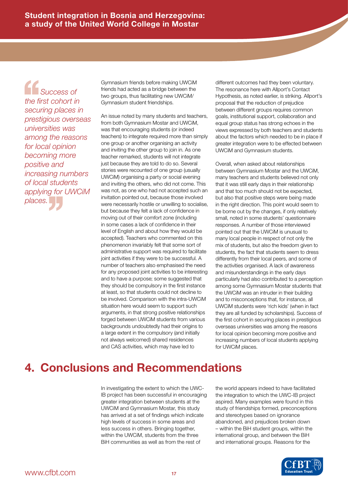*Success of the first cohort in securing places in prestigious overseas universities was among the reasons for local opinion becoming more positive and increasing numbers of local students applying for UWCiM places.*<br>*pplying for l*<br>*places.*<br>*places.* Succ<br>
the first content<br>
securing<br>
prestigiou

Gymnasium friends before making UWCiM friends had acted as a bridge between the two groups, thus facilitating new UWCiM/ Gymnasium student friendships.

An issue noted by many students and teachers, from both Gymnasium Mostar and UWCiM, was that encouraging students (or indeed teachers) to integrate required more than simply one group or another organising an activity and inviting the other group to join in. As one teacher remarked, students will not integrate just because they are told to do so. Several stories were recounted of one group (usually UWCiM) organising a party or social evening and inviting the others, who did not come. This was not, as one who had not accepted such an invitation pointed out, because those involved were necessarily hostile or unwilling to socialise, but because they felt a lack of confidence in moving out of their comfort zone (including in some cases a lack of confidence in their level of English and about how they would be accepted). Teachers who commented on this phenomenon invariably felt that some sort of administrative support was required to facilitate joint activities if they were to be successful. A number of teachers also emphasised the need for any proposed joint activities to be interesting and to have a purpose; some suggested that they should be compulsory in the first instance at least, so that students could not decline to be involved. Comparison with the intra-UWCiM situation here would seem to support such arguments, in that strong positive relationships forged between UWCiM students from various backgrounds undoubtedly had their origins to a large extent in the compulsory (and initially not always welcomed) shared residences and CAS activities, which may have led to

different outcomes had they been voluntary. The resonance here with Allport's Contact Hypothesis, as noted earlier, is striking. Allport's proposal that the reduction of prejudice between different groups requires common goals, institutional support, collaboration and equal group status has strong echoes in the views expressed by both teachers and students about the factors which needed to be in place if greater integration were to be effected between UWCiM and Gymnasium students.

Overall, when asked about relationships between Gymnasium Mostar and the UWCiM, many teachers and students believed not only that it was still early days in their relationship and that too much should not be expected, but also that positive steps were being made in the right direction. This point would seem to be borne out by the changes, if only relatively small, noted in some students' questionnaire responses. A number of those interviewed pointed out that the UWCiM is unusual to many local people in respect of not only the mix of students, but also the freedom given to students, the fact that students seem to dress differently from their local peers, and some of the activities organised. A lack of awareness and misunderstandings in the early days particularly had also contributed to a perception among some Gymnasium Mostar students that the UWCiM was an intruder in their building and to misconceptions that, for instance, all UWCiM students were 'rich kids' (when in fact they are all funded by scholarships). Success of the first cohort in securing places in prestigious overseas universities was among the reasons for local opinion becoming more positive and increasing numbers of local students applying for UWCiM places.

## **4. Conclusions and Recommendations**

In investigating the extent to which the UWC-IB project has been successful in encouraging greater integration between students at the UWCiM and Gymnasium Mostar, this study has arrived at a set of findings which indicate high levels of success in some areas and less success in others. Bringing together, within the UWCiM, students from the three BiH communities as well as from the rest of

the world appears indeed to have facilitated the integration to which the UWC-IB project aspired. Many examples were found in this study of friendships formed, preconceptions and stereotypes based on ignorance abandoned, and prejudices broken down – within the BiH student groups, within the international group, and between the BiH and international groups. Reasons for the

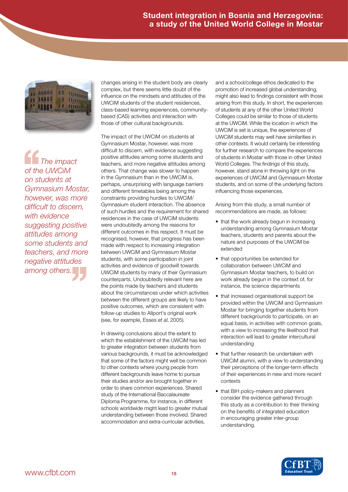

*The impact of the UWCiM on students at Gymnasium Mostar, however, was more difficult to discern, with evidence suggesting positive attitudes among some students and teachers, and more among others.* '' *negative attitudes*  The information of the UW<br>
on studen<br>
Gymnasiu

changes arising in the student body are clearly complex, but there seems little doubt of the influence on the mindsets and attitudes of the UWCiM students of the student residences, class-based learning experiences, communitybased (CAS) activities and interaction with those of other cultural backgrounds.

The impact of the UWCiM on students at Gymnasium Mostar, however, was more difficult to discern, with evidence suggesting positive attitudes among some students and teachers, and more negative attitudes among others. That change was slower to happen in the Gymnasium than in the UWCiM is, perhaps, unsurprising with language barriers and different timetables being among the constraints providing hurdles to UWCiM/ Gymnasium student interaction. The absence of such hurdles and the requirement for shared residences in the case of UWCiM students were undoubtedly among the reasons for different outcomes in this respect. It must be recognised, however, that progress has been made with respect to increasing integration between UWCiM and Gymnasium Mostar students, with some participation in joint activities and evidence of goodwill towards UWCiM students by many of their Gymnasium counterparts. Undoubtedly relevant here are the points made by teachers and students about the circumstances under which activities between the different groups are likely to have positive outcomes, which are consistent with follow-up studies to Allport's original work (see, for example, Esses *et al*, 2005).

In drawing conclusions about the extent to which the establishment of the UWCiM has led to greater integration between students from various backgrounds, it must be acknowledged that some of the factors might well be common to other contexts where young people from different backgrounds leave home to pursue their studies and/or are brought together in order to share common experiences. Shared study of the International Baccalaureate Diploma Programme, for instance, in different schools worldwide might lead to greater mutual understanding between those involved. Shared accommodation and extra-curricular activities,

and a school/college ethos dedicated to the promotion of increased global understanding, might also lead to findings consistent with those arising from this study. In short, the experiences of students at any of the other United World Colleges could be similar to those of students at the UWCiM. While the location in which the UWCiM is set is unique, the experiences of UWCiM students may well have similarities in other contexts. It would certainly be interesting for further research to compare the experiences of students in Mostar with those in other United World Colleges. The findings of this study, however, stand alone in throwing light on the experiences of UWCiM and Gymnasium Mostar students, and on some of the underlying factors influencing those experiences.

Arising from this study, a small number of recommendations are made, as follows:

- that the work already begun in increasing understanding among Gymnasium Mostar teachers, students and parents about the nature and purposes of the UWCiM be extended
- that opportunities be extended for collaboration between UWCiM and Gymnasium Mostar teachers, to build on work already begun in the context of, for instance, the science departments
- that increased organisational support be provided within the UWCiM and Gymnasium Mostar for bringing together students from different backgrounds to participate, on an equal basis, in activities with common goals, with a view to increasing the likelihood that interaction will lead to greater intercultural understanding
- that further research be undertaken with UWCiM alumni, with a view to understanding their perceptions of the longer-term effects of their experiences in new and more recent contexts
- that BiH policy-makers and planners consider the evidence gathered through this study as a contribution to their thinking on the benefits of integrated education in encouraging greater inter-group understanding.

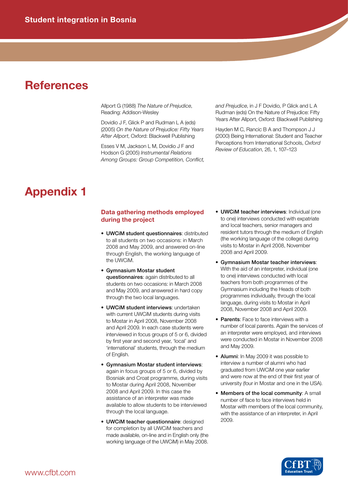### **References**

Allport G (1988) *The Nature of Prejudice*, Reading: Addison-Wesley

Dovidio J F, Glick P and Rudman L A (eds) (2005) *On the Nature of Prejudice: Fifty Years After Allport*, Oxford: Blackwell Publishing

Esses V M, Jackson L M, Dovidio J F and Hodson G (2005) *Instrumental Relations Among Groups: Group Competition, Conflict,*  *and Prejudice*, in J F Dovidio, P Glick and L A Rudman (eds) On the Nature of Prejudice: Fifty Years After Allport, Oxford: Blackwell Publishing

Hayden M C, Rancic B A and Thompson J J (2000) Being International: Student and Teacher Perceptions from International Schools, *Oxford Review of Education*, 26, 1, 107–123

## **Appendix 1**

### **Data gathering methods employed during the project**

- UWCiM student questionnaires: distributed to all students on two occasions: in March 2008 and May 2009, and answered on-line through English, the working language of the UWCiM.
- Gymnasium Mostar student questionnaires: again distributed to all students on two occasions: in March 2008 and May 2009, and answered in hard copy through the two local languages.
- UWCiM student interviews: undertaken with current UWCiM students during visits to Mostar in April 2008, November 2008 and April 2009. In each case students were interviewed in focus groups of 5 or 6, divided by first year and second year, 'local' and 'international' students, through the medium of English.
- Gymnasium Mostar student interviews: again in focus groups of 5 or 6, divided by Bosniak and Croat programme, during visits to Mostar during April 2008, November 2008 and April 2009. In this case the assistance of an interpreter was made available to allow students to be interviewed through the local language.
- UWCiM teacher questionnaire: designed for completion by all UWCiM teachers and made available, on-line and in English only (the working language of the UWCiM) in May 2008.
- UWCiM teacher interviews: Individual (one to one) interviews conducted with expatriate and local teachers, senior managers and resident tutors through the medium of English (the working language of the college) during visits to Mostar in April 2008, November 2008 and April 2009.
- Gymnasium Mostar teacher interviews: With the aid of an interpreter, individual (one to one) interviews conducted with local teachers from both programmes of the Gymnasium including the Heads of both programmes individually, through the local language, during visits to Mostar in April 2008, November 2008 and April 2009.
- Parents: Face to face interviews with a number of local parents. Again the services of an interpreter were employed, and interviews were conducted in Mostar in November 2008 and May 2009.
- **Alumni**: In May 2009 it was possible to interview a number of alumni who had graduated from UWCiM one year earlier and were now at the end of their first year of university (four in Mostar and one in the USA).
- Members of the local community: A small number of face to face interviews held in Mostar with members of the local community, with the assistance of an interpreter, in April 2009.